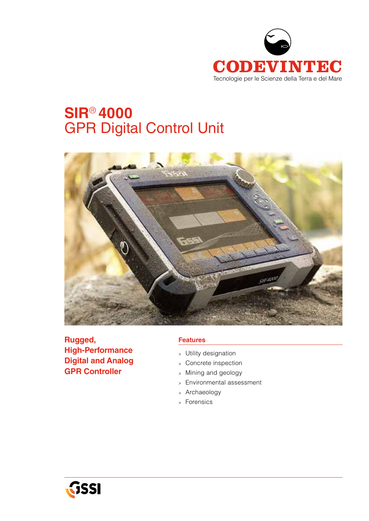

# **SIR**® **4000** GPR Digital Control Unit



**Rugged, High-Performance Digital and Analog GPR Controller**

## **Features**

- <sup>&</sup>gt; Utility designation
- <sup>&</sup>gt; Concrete inspection
- <sup>&</sup>gt; Mining and geology
- <sup>&</sup>gt; Environmental assessment
- <sup>&</sup>gt; Archaeology
- <sup>&</sup>gt; Forensics